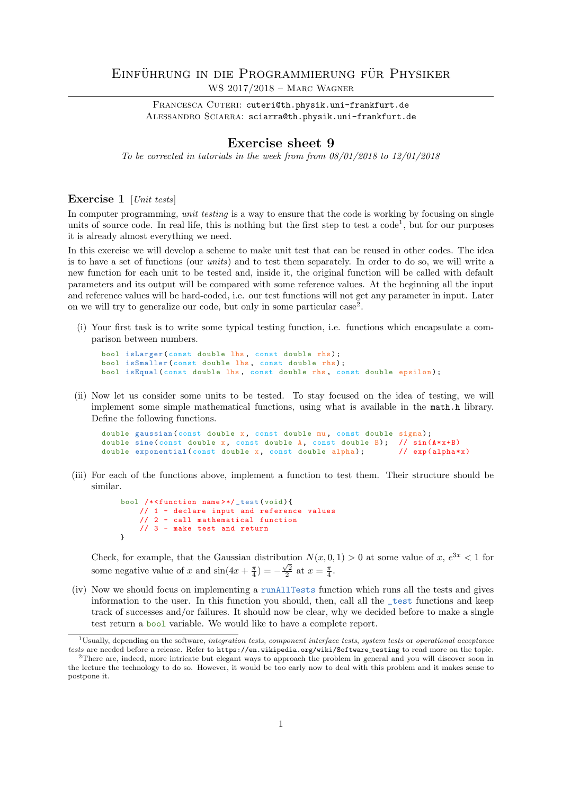## EINFÜHRUNG IN DIE PROGRAMMIERUNG FÜR PHYSIKER WS 2017/2018 – Marc Wagner

FRANCESCA CUTERI: cuteri@th.physik.uni-frankfurt.de ALESSANDRO SCIARRA: sciarra@th.physik.uni-frankfurt.de

## Exercise sheet 9

To be corrected in tutorials in the week from from  $08/01/2018$  to  $12/01/2018$ 

## Exercise 1 [Unit tests]

In computer programming, *unit testing* is a way to ensure that the code is working by focusing on single units of source code. In real life, this is nothing but the first step to test a code<sup>1</sup>, but for our purposes it is already almost everything we need.

In this exercise we will develop a scheme to make unit test that can be reused in other codes. The idea is to have a set of functions (our units) and to test them separately. In order to do so, we will write a new function for each unit to be tested and, inside it, the original function will be called with default parameters and its output will be compared with some reference values. At the beginning all the input and reference values will be hard-coded, i.e. our test functions will not get any parameter in input. Later on we will try to generalize our code, but only in some particular case<sup>2</sup>.

(i) Your first task is to write some typical testing function, i.e. functions which encapsulate a comparison between numbers.

```
bool isLarger ( const double lhs, const double rhs);
bool isSmaller (const double lhs, const double rhs);
bool isEqual ( const double lhs, const double rhs, const double epsilon);
```
(ii) Now let us consider some units to be tested. To stay focused on the idea of testing, we will implement some simple mathematical functions, using what is available in the math.h library. Define the following functions.

```
double gaussian (const double x, const double mu, const double sigma);
double sine (const double x, const double A, const double B); // sin (A*x+B)<br>double exponential (const double x, const double alpha); // exp(alpha*x)
double exponential (const double x, const double alpha);
```
(iii) For each of the functions above, implement a function to test them. Their structure should be similar.

```
bool /* <function name >*/ _test ( void ){
    // 1 - declare input and reference values
    // 2 - call mathematical function
    \frac{7}{7} // 3 - make test and return
}
```
Check, for example, that the Gaussian distribution  $N(x, 0, 1) > 0$  at some value of  $x, e^{3x} < 1$  for some negative value of x and  $\sin(4x + \frac{\pi}{4}) = -\frac{\sqrt{2}}{2}$  at  $x = \frac{\pi}{4}$ .

(iv) Now we should focus on implementing a runAllTests function which runs all the tests and gives information to the user. In this function you should, then, call all the \_test functions and keep track of successes and/or failures. It should now be clear, why we decided before to make a single test return a bool variable. We would like to have a complete report.

 $1$ Usually, depending on the software, integration tests, component interface tests, system tests or operational acceptance tests are needed before a release. Refer to https://en.wikipedia.org/wiki/Software testing to read more on the topic.

<sup>2</sup>There are, indeed, more intricate but elegant ways to approach the problem in general and you will discover soon in the lecture the technology to do so. However, it would be too early now to deal with this problem and it makes sense to postpone it.